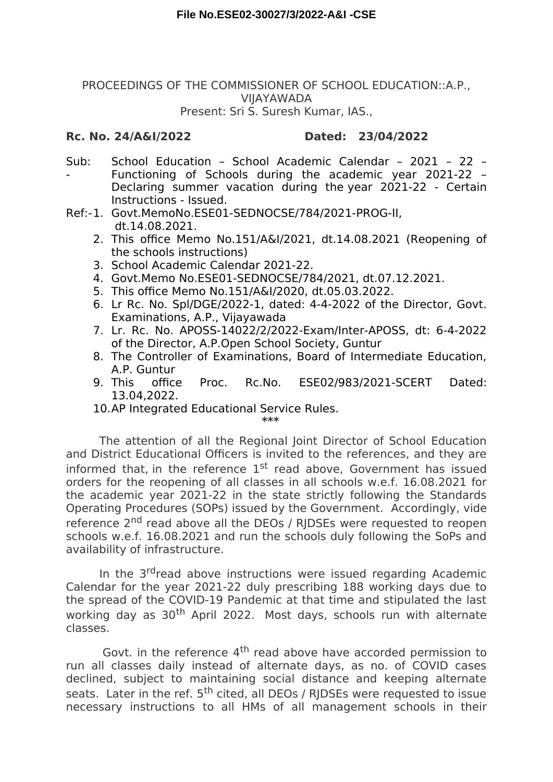## PROCEEDINGS OF THE COMMISSIONER OF SCHOOL EDUCATION::A.P., VIJAYAWADA Present: Sri S. Suresh Kumar, IAS.,

## **Rc. No. 24/A&I/2022 Dated: 23/04/2022**

- Sub: - School Education – School Academic Calendar – 2021 – 22 – Functioning of Schools during the academic year 2021-22 – Declaring summer vacation during the year 2021-22 - Certain Instructions - Issued.
- Ref:-1. Govt.MemoNo.ESE01-SEDNOCSE/784/2021-PROG-II, dt.14.08.2021.
	- 2. This office Memo No.151/A&I/2021, dt.14.08.2021 (Reopening of the schools instructions)
	- 3. School Academic Calendar 2021-22.
	- 4. Govt.Memo No.ESE01-SEDNOCSE/784/2021, dt.07.12.2021.
	- 5. This office Memo No.151/A&I/2020, dt.05.03.2022.
	- 6. Lr Rc. No. Spl/DGE/2022-1, dated: 4-4-2022 of the Director, Govt. Examinations, A.P., Vijayawada
	- 7. Lr. Rc. No. APOSS-14022/2/2022-Exam/Inter-APOSS, dt: 6-4-2022 of the Director, A.P.Open School Society, Guntur
	- 8. The Controller of Examinations, Board of Intermediate Education, A.P. Guntur
	- 9. This office Proc. Rc.No. ESE02/983/2021-SCERT Dated: 13.04,2022.
	- 10.AP Integrated Educational Service Rules.

**\*\*\***

The attention of all the Regional Joint Director of School Education and District Educational Officers is invited to the references, and they are informed that, in the reference  $1<sup>st</sup>$  read above, Government has issued orders for the reopening of all classes in all schools w.e.f. 16.08.2021 for the academic year 2021-22 in the state strictly following the Standards Operating Procedures (SOPs) issued by the Government. Accordingly, vide reference 2<sup>nd</sup> read above all the DEOs / RIDSEs were requested to reopen schools w.e.f. 16.08.2021 and run the schools duly following the SoPs and availability of infrastructure.

In the 3<sup>rd</sup>read above instructions were issued regarding Academic Calendar for the year 2021-22 duly prescribing 188 working days due to the spread of the COVID-19 Pandemic at that time and stipulated the last working day as 30<sup>th</sup> April 2022. Most days, schools run with alternate classes.

Govt. in the reference 4<sup>th</sup> read above have accorded permission to run all classes daily instead of alternate days, as no. of COVID cases declined, subject to maintaining social distance and keeping alternate seats. Later in the ref. 5<sup>th</sup> cited, all DEOs / RIDSEs were requested to issue necessary instructions to all HMs of all management schools in their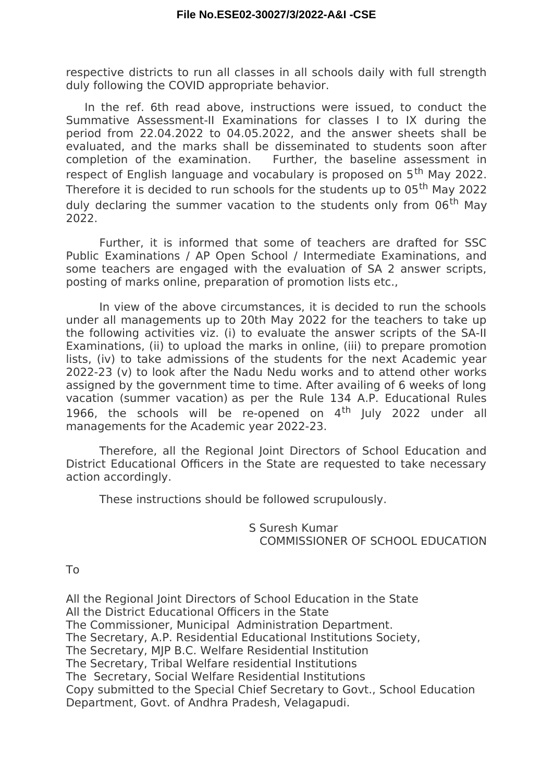respective districts to run all classes in all schools daily with full strength duly following the COVID appropriate behavior.

In the ref. 6th read above, instructions were issued, to conduct the Summative Assessment-II Examinations for classes I to IX during the period from 22.04.2022 to 04.05.2022, and the answer sheets shall be evaluated, and the marks shall be disseminated to students soon after completion of the examination. Further, the baseline assessment in respect of English language and vocabulary is proposed on 5<sup>th</sup> May 2022. Therefore it is decided to run schools for the students up to 05<sup>th</sup> May 2022 duly declaring the summer vacation to the students only from 06<sup>th</sup> Mav 2022.

Further, it is informed that some of teachers are drafted for SSC Public Examinations / AP Open School / Intermediate Examinations, and some teachers are engaged with the evaluation of SA 2 answer scripts, posting of marks online, preparation of promotion lists etc.,

In view of the above circumstances, it is decided to run the schools under all managements up to 20th May 2022 for the teachers to take up the following activities viz. (i) to evaluate the answer scripts of the SA-II Examinations, (ii) to upload the marks in online, (iii) to prepare promotion lists, (iv) to take admissions of the students for the next Academic year 2022-23 (v) to look after the Nadu Nedu works and to attend other works assigned by the government time to time. After availing of 6 weeks of long vacation (summer vacation) as per the Rule 134 A.P. Educational Rules 1966, the schools will be re-opened on  $4<sup>th</sup>$  July 2022 under all managements for the Academic year 2022-23.

Therefore, all the Regional Joint Directors of School Education and District Educational Officers in the State are requested to take necessary action accordingly.

These instructions should be followed scrupulously.

S Suresh Kumar COMMISSIONER OF SCHOOL EDUCATION

To

All the Regional Joint Directors of School Education in the State All the District Educational Officers in the State The Commissioner, Municipal Administration Department. The Secretary, A.P. Residential Educational Institutions Society, The Secretary, MJP B.C. Welfare Residential Institution The Secretary, Tribal Welfare residential Institutions The Secretary, Social Welfare Residential Institutions Copy submitted to the Special Chief Secretary to Govt., School Education Department, Govt. of Andhra Pradesh, Velagapudi.